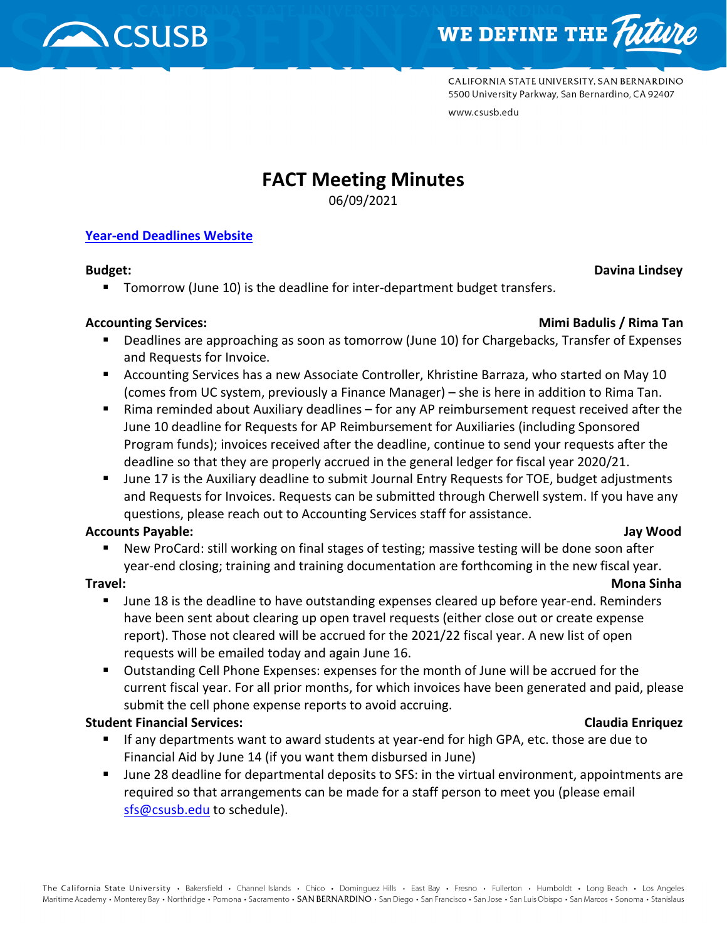



CALIFORNIA STATE UNIVERSITY, SAN BERNARDINO 5500 University Parkway, San Bernardino, CA 92407 www.csusb.edu

# **FACT Meeting Minutes**

06/09/2021

#### **[Year-end Deadlines Website](https://www.csusb.edu/accounting/resources/year-end-deadlines)**

- **Budget:** Davina Lindsey
	- Tomorrow (June 10) is the deadline for inter-department budget transfers.

#### **Accounting Services: Mimi Badulis / Rima Tan**

- Deadlines are approaching as soon as tomorrow (June 10) for Chargebacks, Transfer of Expenses and Requests for Invoice.
- Accounting Services has a new Associate Controller, Khristine Barraza, who started on May 10 (comes from UC system, previously a Finance Manager) – she is here in addition to Rima Tan.
- Rima reminded about Auxiliary deadlines for any AP reimbursement request received after the June 10 deadline for Requests for AP Reimbursement for Auxiliaries (including Sponsored Program funds); invoices received after the deadline, continue to send your requests after the deadline so that they are properly accrued in the general ledger for fiscal year 2020/21.
- June 17 is the Auxiliary deadline to submit Journal Entry Requests for TOE, budget adjustments and Requests for Invoices. Requests can be submitted through Cherwell system. If you have any questions, please reach out to Accounting Services staff for assistance.

## **Accounts Payable: Jay Wood**

 New ProCard: still working on final stages of testing; massive testing will be done soon after year-end closing; training and training documentation are forthcoming in the new fiscal year.

## **Travel: Mona Sinha**

- June 18 is the deadline to have outstanding expenses cleared up before year-end. Reminders have been sent about clearing up open travel requests (either close out or create expense report). Those not cleared will be accrued for the 2021/22 fiscal year. A new list of open requests will be emailed today and again June 16.
- Outstanding Cell Phone Expenses: expenses for the month of June will be accrued for the current fiscal year. For all prior months, for which invoices have been generated and paid, please submit the cell phone expense reports to avoid accruing.

## **Student Financial Services: Claudia Enriquez**

- If any departments want to award students at year-end for high GPA, etc. those are due to Financial Aid by June 14 (if you want them disbursed in June)
- June 28 deadline for departmental deposits to SFS: in the virtual environment, appointments are required so that arrangements can be made for a staff person to meet you (please email [sfs@csusb.edu](mailto:sfs@csusb.edu) to schedule).